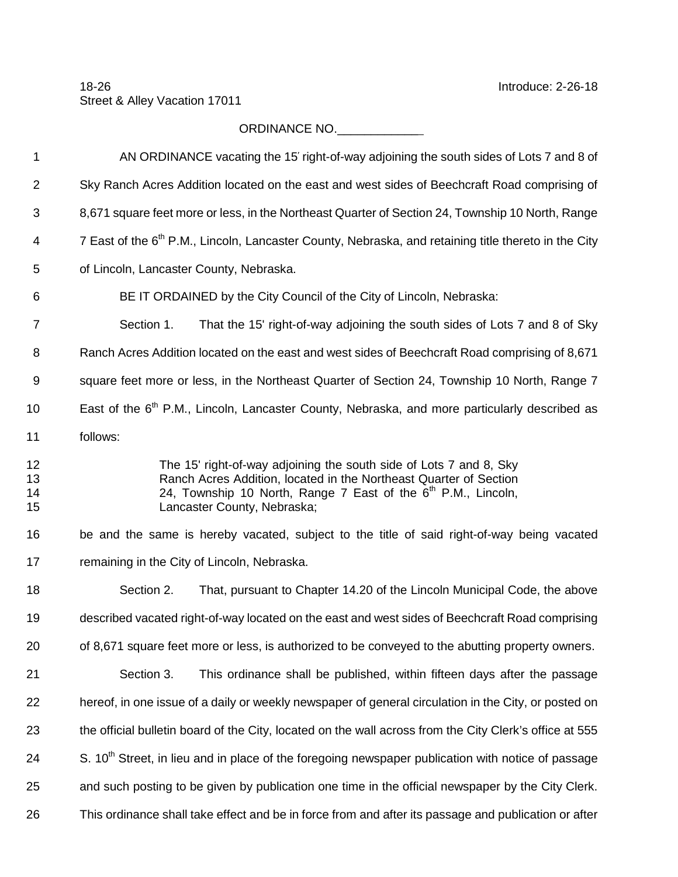## ORDINANCE NO.\_\_\_\_\_\_\_\_\_\_\_\_

| $\mathbf 1$          | AN ORDINANCE vacating the 15' right-of-way adjoining the south sides of Lots 7 and 8 of                                                                                                                                                             |
|----------------------|-----------------------------------------------------------------------------------------------------------------------------------------------------------------------------------------------------------------------------------------------------|
| $\overline{2}$       | Sky Ranch Acres Addition located on the east and west sides of Beechcraft Road comprising of                                                                                                                                                        |
| 3                    | 8,671 square feet more or less, in the Northeast Quarter of Section 24, Township 10 North, Range                                                                                                                                                    |
| 4                    | 7 East of the 6 <sup>th</sup> P.M., Lincoln, Lancaster County, Nebraska, and retaining title thereto in the City                                                                                                                                    |
| 5                    | of Lincoln, Lancaster County, Nebraska.                                                                                                                                                                                                             |
| 6                    | BE IT ORDAINED by the City Council of the City of Lincoln, Nebraska:                                                                                                                                                                                |
| 7                    | That the 15' right-of-way adjoining the south sides of Lots 7 and 8 of Sky<br>Section 1.                                                                                                                                                            |
| 8                    | Ranch Acres Addition located on the east and west sides of Beechcraft Road comprising of 8,671                                                                                                                                                      |
| 9                    | square feet more or less, in the Northeast Quarter of Section 24, Township 10 North, Range 7                                                                                                                                                        |
| 10                   | East of the 6 <sup>th</sup> P.M., Lincoln, Lancaster County, Nebraska, and more particularly described as                                                                                                                                           |
| 11                   | follows:                                                                                                                                                                                                                                            |
| 12<br>13<br>14<br>15 | The 15' right-of-way adjoining the south side of Lots 7 and 8, Sky<br>Ranch Acres Addition, located in the Northeast Quarter of Section<br>24, Township 10 North, Range 7 East of the 6 <sup>th</sup> P.M., Lincoln,<br>Lancaster County, Nebraska; |
| 16                   | be and the same is hereby vacated, subject to the title of said right-of-way being vacated                                                                                                                                                          |
| 17                   | remaining in the City of Lincoln, Nebraska.                                                                                                                                                                                                         |
| 18                   | Section 2.<br>That, pursuant to Chapter 14.20 of the Lincoln Municipal Code, the above                                                                                                                                                              |
| 19                   | described vacated right-of-way located on the east and west sides of Beechcraft Road comprising                                                                                                                                                     |
| 20                   | of 8,671 square feet more or less, is authorized to be conveyed to the abutting property owners.                                                                                                                                                    |
| 21                   | Section 3.<br>This ordinance shall be published, within fifteen days after the passage                                                                                                                                                              |
| 22                   | hereof, in one issue of a daily or weekly newspaper of general circulation in the City, or posted on                                                                                                                                                |
| 23                   | the official bulletin board of the City, located on the wall across from the City Clerk's office at 555                                                                                                                                             |
| 24                   | S. 10 <sup>th</sup> Street, in lieu and in place of the foregoing newspaper publication with notice of passage                                                                                                                                      |
| 25                   | and such posting to be given by publication one time in the official newspaper by the City Clerk.                                                                                                                                                   |
| 26                   | This ordinance shall take effect and be in force from and after its passage and publication or after                                                                                                                                                |